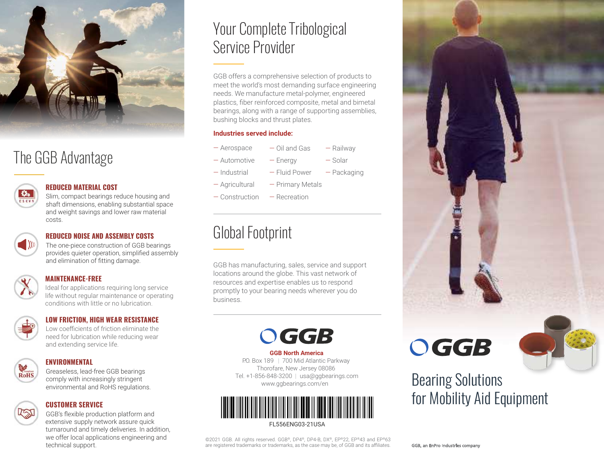

## The GGB Advantage



### **REDUCED MATERIAL COST**

Slim, compact bearings reduce housing and shaft dimensions, enabling substantial space and weight savings and lower raw material costs.



### **REDUCED NOISE AND ASSEMBLY COSTS**

The one-piece construction of GGB bearings provides quieter operation, simplified assembly and elimination of fitting damage.



### **MAINTENANCE-FREE**

Ideal for applications requiring long service life without regular maintenance or operating conditions with little or no lubrication.



#### **LOW FRICTION, HIGH WEAR RESISTANCE**

Low coefficients of friction eliminate the need for lubrication while reducing wear and extending service life.



### **ENVIRONMENTAL**

Greaseless, lead-free GGB bearings comply with increasingly stringent environmental and RoHS regulations.



### **CUSTOMER SERVICE**

GGB's flexible production platform and extensive supply network assure quick turnaround and timely deliveries. In addition, we offer local applications engineering and technical support.

### Your Complete Tribological Service Provider

GGB offers a comprehensive selection of products to meet the world's most demanding surface engineering needs. We manufacture metal-polymer, engineered plastics, fiber reinforced composite, metal and bimetal bearings, along with a range of supporting assemblies, bushing blocks and thrust plates.

— Solar

### **Industries served include:**

| — Aerospace | $-$ Oil and Gas | - Railway |
|-------------|-----------------|-----------|
|             |                 |           |

- Automotive — Energy
- Industrial — Fluid Power — Packaging
- Agricultural — Primary Metals
- Construction — Recreation

### Global Footprint

GGB has manufacturing, sales, service and support locations around the globe. This vast network of resources and expertise enables us to respond promptly to your bearing needs wherever you do business.

OGGB

#### **GGB North America**

P.O. Box 189 | 700 Mid Atlantic Parkway Thorofare, New Jersey 08086 Tel. +1-856-848-3200 | usa@ggbearings.com www.ggbearings.com/en



FL556ENG03-21USA

@2021 GGB. All rights reserved. GGB®, DP4®, DP4-B, DX®, EP®22, EP®43 and EP®63 are registered trademarks or trademarks, as the case may be, of GGB and its affiliates.



# OGGB



### Bearing Solutions for Mobility Aid Equipment